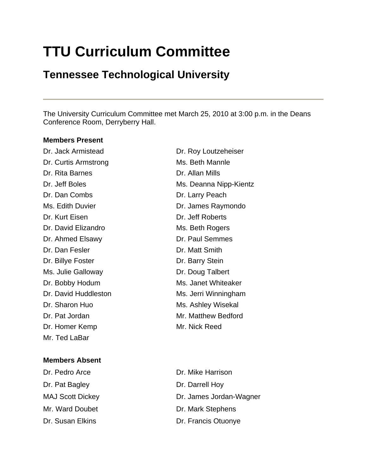# **TTU Curriculum Committee**

# **Tennessee Technological University**

The University Curriculum Committee met March 25, 2010 at 3:00 p.m. in the Deans Conference Room, Derryberry Hall.

#### **Members Present**

Dr. Curtis Armstrong Ms. Beth Mannle Dr. Rita Barnes Dr. Allan Mills Dr. Dan Combs Dr. Larry Peach Dr. Kurt Eisen Dr. Jeff Roberts Dr. David Elizandro Ms. Beth Rogers Dr. Ahmed Elsawy Dr. Paul Semmes Dr. Dan Fesler **Dr. Matt Smith** Dr. Billye Foster **Dr. Barry Stein** Ms. Julie Galloway **Dr. Doug Talbert** Dr. Bobby Hodum Ms. Janet Whiteaker Dr. Sharon Huo **Ms. Ashley Wisekal** Dr. Pat Jordan Mr. Matthew Bedford Dr. Homer Kemp Mr. Nick Reed Mr. Ted LaBar

# **Members Absent**

Dr. Pat Bagley Dr. Darrell Hoy

Dr. Jack Armistead Dr. Roy Loutzeheiser Dr. Jeff Boles Ms. Deanna Nipp-Kientz Ms. Edith Duvier **Dr. James Raymondo** Dr. David Huddleston Ms. Jerri Winningham

Dr. Pedro Arce **Dr. Mike Harrison** MAJ Scott Dickey Dr. James Jordan-Wagner Mr. Ward Doubet Dr. Mark Stephens Dr. Susan Elkins **Dr. Francis Otuonye**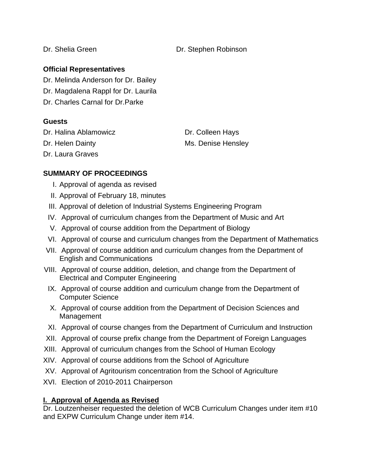Dr. Shelia Green Dr. Stephen Robinson

# **Official Representatives**

Dr. Melinda Anderson for Dr. Bailey

Dr. Magdalena Rappl for Dr. Laurila

Dr. Charles Carnal for Dr.Parke

# **Guests**

Dr. Halina Ablamowicz Dr. Colleen Hays

Dr. Helen Dainty **Ms. Denise Hensley** 

Dr. Laura Graves

# **SUMMARY OF PROCEEDINGS**

- I. Approval of agenda as revised
- II. Approval of February 18, minutes
- III. Approval of deletion of Industrial Systems Engineering Program
- IV. Approval of curriculum changes from the Department of Music and Art
- V. Approval of course addition from the Department of Biology
- VI. Approval of course and curriculum changes from the Department of Mathematics
- VII. Approval of course addition and curriculum changes from the Department of English and Communications
- VIII. Approval of course addition, deletion, and change from the Department of Electrical and Computer Engineering
- IX. Approval of course addition and curriculum change from the Department of Computer Science
- X. Approval of course addition from the Department of Decision Sciences and Management
- XI. Approval of course changes from the Department of Curriculum and Instruction
- XII. Approval of course prefix change from the Department of Foreign Languages
- XIII. Approval of curriculum changes from the School of Human Ecology
- XIV. Approval of course additions from the School of Agriculture
- XV. Approval of Agritourism concentration from the School of Agriculture
- XVI. Election of 2010-2011 Chairperson

# **I. Approval of Agenda as Revised**

Dr. Loutzenheiser requested the deletion of WCB Curriculum Changes under item #10 and EXPW Curriculum Change under item #14.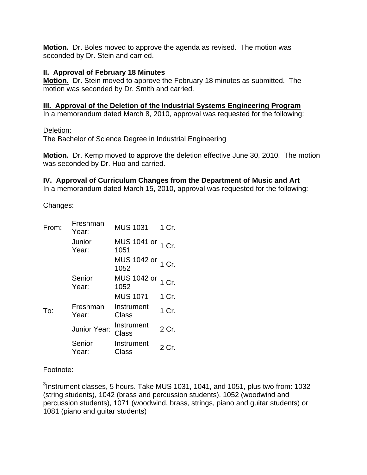**Motion.** Dr. Boles moved to approve the agenda as revised. The motion was seconded by Dr. Stein and carried.

#### **II. Approval of February 18 Minutes**

**Motion.** Dr. Stein moved to approve the February 18 minutes as submitted. The motion was seconded by Dr. Smith and carried.

#### **III. Approval of the Deletion of the Industrial Systems Engineering Program**

In a memorandum dated March 8, 2010, approval was requested for the following:

Deletion:

The Bachelor of Science Degree in Industrial Engineering

**Motion.** Dr. Kemp moved to approve the deletion effective June 30, 2010. The motion was seconded by Dr. Huo and carried.

#### **IV. Approval of Curriculum Changes from the Department of Music and Art**

In a memorandum dated March 15, 2010, approval was requested for the following:

Changes:

| From: | Freshman<br>Year: | <b>MUS 1031</b>           | 1 Cr. |
|-------|-------------------|---------------------------|-------|
|       | Junior<br>Year:   | MUS 1041 or 1 Cr.<br>1051 |       |
|       |                   | MUS 1042 or 1 Cr.<br>1052 |       |
|       | Senior<br>Year:   | MUS 1042 or 1 Cr.<br>1052 |       |
|       |                   | <b>MUS 1071</b>           | 1 Cr. |
| To:   | Freshman<br>Year: | Instrument<br>Class       | 1 Cr. |
|       | Junior Year:      | Instrument<br>Class       | 2 Cr. |
|       | Senior<br>Year:   | Instrument<br>Class       | 2 Cr. |

#### Footnote:

 $3$ Instrument classes, 5 hours. Take MUS 1031, 1041, and 1051, plus two from: 1032 (string students), 1042 (brass and percussion students), 1052 (woodwind and percussion students), 1071 (woodwind, brass, strings, piano and guitar students) or 1081 (piano and guitar students)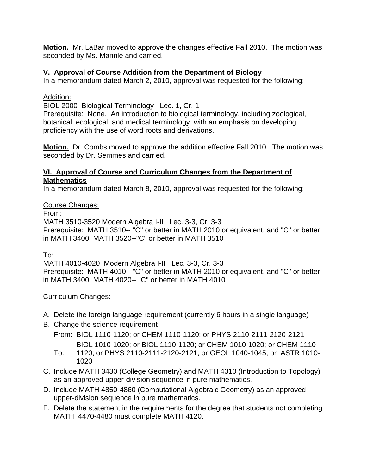**Motion.** Mr. LaBar moved to approve the changes effective Fall 2010. The motion was seconded by Ms. Mannle and carried.

# **V. Approval of Course Addition from the Department of Biology**

In a memorandum dated March 2, 2010, approval was requested for the following:

# Addition:

BIOL 2000 Biological Terminology Lec. 1, Cr. 1

Prerequisite: None. An introduction to biological terminology, including zoological, botanical, ecological, and medical terminology, with an emphasis on developing proficiency with the use of word roots and derivations.

**Motion.** Dr. Combs moved to approve the addition effective Fall 2010. The motion was seconded by Dr. Semmes and carried.

### **VI. Approval of Course and Curriculum Changes from the Department of Mathematics**

In a memorandum dated March 8, 2010, approval was requested for the following:

# Course Changes:

From:

MATH 3510-3520 Modern Algebra I-II Lec. 3-3, Cr. 3-3 Prerequisite: MATH 3510-- "C" or better in MATH 2010 or equivalent, and "C" or better in MATH 3400; MATH 3520--"C" or better in MATH 3510

To:

MATH 4010-4020 Modern Algebra I-II Lec. 3-3, Cr. 3-3 Prerequisite: MATH 4010-- "C" or better in MATH 2010 or equivalent, and "C" or better in MATH 3400; MATH 4020-- "C" or better in MATH 4010

# Curriculum Changes:

- A. Delete the foreign language requirement (currently 6 hours in a single language)
- B. Change the science requirement
	- From: BIOL 1110-1120; or CHEM 1110-1120; or PHYS 2110-2111-2120-2121 BIOL 1010-1020; or BIOL 1110-1120; or CHEM 1010-1020; or CHEM 1110-
	- To: 1120; or PHYS 2110-2111-2120-2121; or GEOL 1040-1045; or ASTR 1010- 1020
- C. Include MATH 3430 (College Geometry) and MATH 4310 (Introduction to Topology) as an approved upper-division sequence in pure mathematics.
- D. Include MATH 4850-4860 (Computational Algebraic Geometry) as an approved upper-division sequence in pure mathematics.
- E. Delete the statement in the requirements for the degree that students not completing MATH 4470-4480 must complete MATH 4120.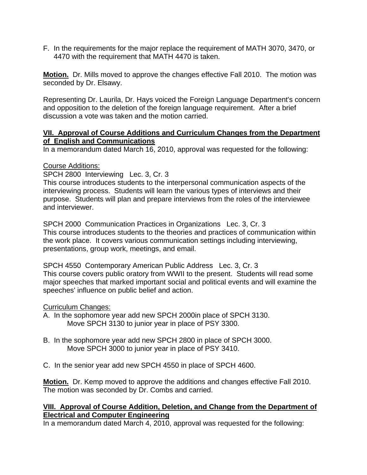F. In the requirements for the major replace the requirement of MATH 3070, 3470, or 4470 with the requirement that MATH 4470 is taken.

**Motion.** Dr. Mills moved to approve the changes effective Fall 2010. The motion was seconded by Dr. Elsawy.

Representing Dr. Laurila, Dr. Hays voiced the Foreign Language Department's concern and opposition to the deletion of the foreign language requirement. After a brief discussion a vote was taken and the motion carried.

#### **VII. Approval of Course Additions and Curriculum Changes from the Department of English and Communications**

In a memorandum dated March 16, 2010, approval was requested for the following:

#### Course Additions:

SPCH 2800 Interviewing Lec. 3, Cr. 3

This course introduces students to the interpersonal communication aspects of the interviewing process. Students will learn the various types of interviews and their purpose. Students will plan and prepare interviews from the roles of the interviewee and interviewer.

SPCH 2000 Communication Practices in Organizations Lec. 3, Cr. 3 This course introduces students to the theories and practices of communication within the work place. It covers various communication settings including interviewing, presentations, group work, meetings, and email.

SPCH 4550 Contemporary American Public Address Lec. 3, Cr. 3 This course covers public oratory from WWII to the present. Students will read some major speeches that marked important social and political events and will examine the speeches' influence on public belief and action.

#### Curriculum Changes:

- A. In the sophomore year add new SPCH 2000in place of SPCH 3130. Move SPCH 3130 to junior year in place of PSY 3300.
- B. In the sophomore year add new SPCH 2800 in place of SPCH 3000. Move SPCH 3000 to junior year in place of PSY 3410.
- C. In the senior year add new SPCH 4550 in place of SPCH 4600.

**Motion.** Dr. Kemp moved to approve the additions and changes effective Fall 2010. The motion was seconded by Dr. Combs and carried.

#### **VIII. Approval of Course Addition, Deletion, and Change from the Department of Electrical and Computer Engineering**

In a memorandum dated March 4, 2010, approval was requested for the following: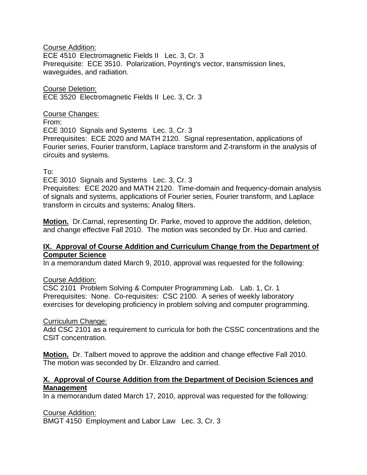#### Course Addition:

ECE 4510 Electromagnetic Fields II Lec. 3, Cr. 3 Prerequisite: ECE 3510. Polarization, Poynting's vector, transmission lines, waveguides, and radiation.

#### Course Deletion: ECE 3520 Electromagnetic Fields II Lec. 3, Cr. 3

#### Course Changes:

From:

ECE 3010 Signals and Systems Lec. 3, Cr. 3

Prerequisites: ECE 2020 and MATH 2120. Signal representation, applications of Fourier series, Fourier transform, Laplace transform and Z-transform in the analysis of circuits and systems.

#### To:

ECE 3010 Signals and Systems Lec. 3, Cr. 3

Prequisites: ECE 2020 and MATH 2120. Time-domain and frequency-domain analysis of signals and systems, applications of Fourier series, Fourier transform, and Laplace transform in circuits and systems; Analog filters.

**Motion.** Dr.Carnal, representing Dr. Parke, moved to approve the addition, deletion, and change effective Fall 2010. The motion was seconded by Dr. Huo and carried.

#### **IX. Approval of Course Addition and Curriculum Change from the Department of Computer Science**

In a memorandum dated March 9, 2010, approval was requested for the following:

#### Course Addition:

CSC 2101 Problem Solving & Computer Programming Lab. Lab. 1, Cr. 1 Prerequisites: None. Co-requisites: CSC 2100. A series of weekly laboratory exercises for developing proficiency in problem solving and computer programming.

#### Curriculum Change:

Add CSC 2101 as a requirement to curricula for both the CSSC concentrations and the CSIT concentration.

**Motion.** Dr. Talbert moved to approve the addition and change effective Fall 2010. The motion was seconded by Dr. Elizandro and carried.

#### **X. Approval of Course Addition from the Department of Decision Sciences and Management**

In a memorandum dated March 17, 2010, approval was requested for the following:

Course Addition:

BMGT 4150 Employment and Labor Law Lec. 3, Cr. 3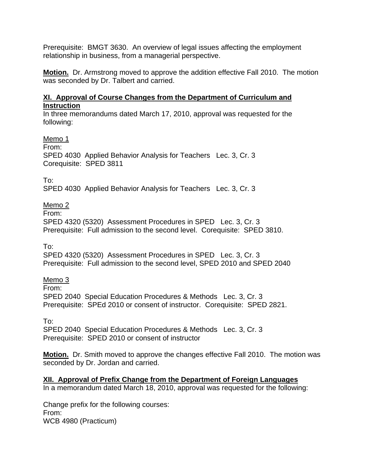Prerequisite: BMGT 3630. An overview of legal issues affecting the employment relationship in business, from a managerial perspective.

**Motion.** Dr. Armstrong moved to approve the addition effective Fall 2010. The motion was seconded by Dr. Talbert and carried.

# **XI. Approval of Course Changes from the Department of Curriculum and Instruction**

In three memorandums dated March 17, 2010, approval was requested for the following:

Memo 1

From:

SPED 4030 Applied Behavior Analysis for Teachers Lec. 3, Cr. 3 Corequisite: SPED 3811

To:

SPED 4030 Applied Behavior Analysis for Teachers Lec. 3, Cr. 3

# Memo 2

From:

SPED 4320 (5320) Assessment Procedures in SPED Lec. 3, Cr. 3 Prerequisite: Full admission to the second level. Corequisite: SPED 3810.

To:

SPED 4320 (5320) Assessment Procedures in SPED Lec. 3, Cr. 3 Prerequisite: Full admission to the second level, SPED 2010 and SPED 2040

Memo 3

From:

SPED 2040 Special Education Procedures & Methods Lec. 3, Cr. 3 Prerequisite: SPEd 2010 or consent of instructor. Corequisite: SPED 2821.

To:

SPED 2040 Special Education Procedures & Methods Lec. 3, Cr. 3 Prerequisite: SPED 2010 or consent of instructor

**Motion.** Dr. Smith moved to approve the changes effective Fall 2010. The motion was seconded by Dr. Jordan and carried.

# **XII. Approval of Prefix Change from the Department of Foreign Languages**

In a memorandum dated March 18, 2010, approval was requested for the following:

Change prefix for the following courses: From: WCB 4980 (Practicum)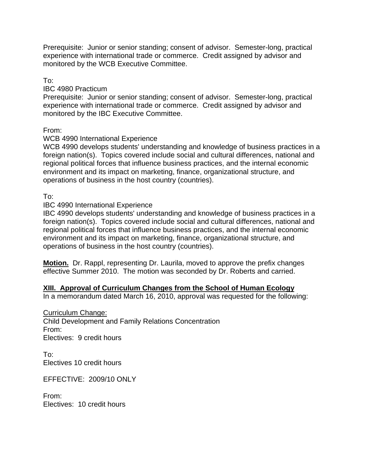Prerequisite: Junior or senior standing; consent of advisor. Semester-long, practical experience with international trade or commerce. Credit assigned by advisor and monitored by the WCB Executive Committee.

To:

#### IBC 4980 Practicum

Prerequisite: Junior or senior standing; consent of advisor. Semester-long, practical experience with international trade or commerce. Credit assigned by advisor and monitored by the IBC Executive Committee.

From:

#### WCB 4990 International Experience

WCB 4990 develops students' understanding and knowledge of business practices in a foreign nation(s). Topics covered include social and cultural differences, national and regional political forces that influence business practices, and the internal economic environment and its impact on marketing, finance, organizational structure, and operations of business in the host country (countries).

To:

#### IBC 4990 International Experience

IBC 4990 develops students' understanding and knowledge of business practices in a foreign nation(s). Topics covered include social and cultural differences, national and regional political forces that influence business practices, and the internal economic environment and its impact on marketing, finance, organizational structure, and operations of business in the host country (countries).

**Motion.** Dr. Rappl, representing Dr. Laurila, moved to approve the prefix changes effective Summer 2010. The motion was seconded by Dr. Roberts and carried.

# **XIII. Approval of Curriculum Changes from the School of Human Ecology**

In a memorandum dated March 16, 2010, approval was requested for the following:

Curriculum Change: Child Development and Family Relations Concentration From:

Electives: 9 credit hours

To: Electives 10 credit hours

EFFECTIVE: 2009/10 ONLY

From: Electives: 10 credit hours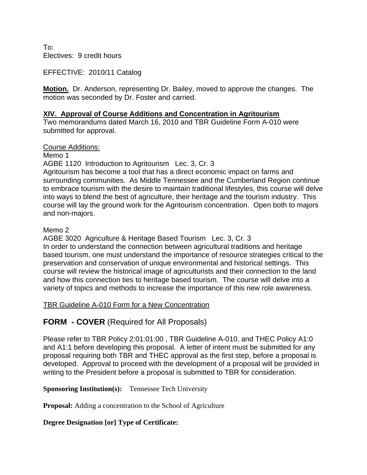To: Electives: 9 credit hours

EFFECTIVE: 2010/11 Catalog

**Motion.** Dr. Anderson, representing Dr. Bailey, moved to approve the changes. The motion was seconded by Dr. Foster and carried.

#### **XIV. Approval of Course Additions and Concentration in Agritourism**

Two memorandums dated March 16, 2010 and TBR Guideline Form A-010 were submitted for approval.

Course Additions:

Memo 1

AGBE 1120 Introduction to Agritourism Lec. 3, Cr. 3

Agritourism has become a tool that has a direct economic impact on farms and surrounding communities. As Middle Tennessee and the Cumberland Region continue to embrace tourism with the desire to maintain traditional lifestyles, this course will delve into ways to blend the best of agriculture, their heritage and the tourism industry. This course will lay the ground work for the Agritourism concentration. Open both to majors and non-majors.

Memo 2

AGBE 3020 Agriculture & Heritage Based Tourism Lec. 3, Cr. 3 In order to understand the connection between agricultural traditions and heritage based tourism, one must understand the importance of resource strategies critical to the preservation and conservation of unique environmental and historical settings. This course will review the historical image of agriculturists and their connection to the land and how this connection ties to heritage based tourism. The course will delve into a variety of topics and methods to increase the importance of this new role awareness.

# TBR Guideline A-010 Form for a New Concentration

**FORM - COVER** (Required for All Proposals)

Please refer to TBR Policy 2:01:01:00 , TBR Guideline A-010, and THEC Policy A1:0 and A1:1 before developing this proposal. A letter of intent must be submitted for any proposal requiring both TBR and THEC approval as the first step, before a proposal is developed. Approval to proceed with the development of a proposal will be provided in writing to the President before a proposal is submitted to TBR for consideration.

# **Sponsoring Institution(s):** Tennessee Tech University

**Proposal:** Adding a concentration to the School of Agriculture

# **Degree Designation [or] Type of Certificate:**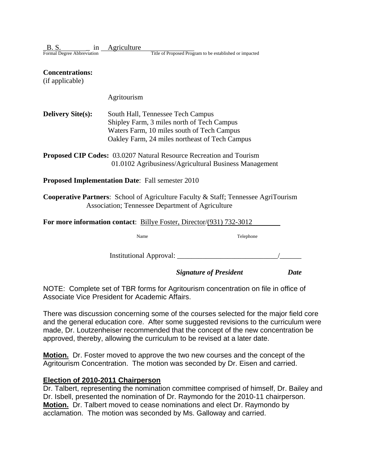| B.S.                       | Agriculture |                                                         |
|----------------------------|-------------|---------------------------------------------------------|
| Formal Degree Abbreviation |             | Title of Proposed Program to be established or impacted |

#### **Concentrations:**

(if applicable)

Agritourism

| <b>Delivery Site(s):</b> | South Hall, Tennessee Tech Campus              |
|--------------------------|------------------------------------------------|
|                          | Shipley Farm, 3 miles north of Tech Campus     |
|                          | Waters Farm, 10 miles south of Tech Campus     |
|                          | Oakley Farm, 24 miles northeast of Tech Campus |

| <b>Proposed CIP Codes:</b> 03.0207 Natural Resource Recreation and Tourism |
|----------------------------------------------------------------------------|
| 01.0102 Agribusiness/Agricultural Business Management                      |

**Proposed Implementation Date**: Fall semester 2010

**Cooperative Partners**: School of Agriculture Faculty & Staff; Tennessee AgriTourism Association; Tennessee Department of Agriculture

| For more information contact: Billye Foster, Director/(931) 732-3012 |           |  |  |  |  |
|----------------------------------------------------------------------|-----------|--|--|--|--|
| Name                                                                 | Telephone |  |  |  |  |
| Institutional Approval:                                              |           |  |  |  |  |

*Signature of President Date*

NOTE: Complete set of TBR forms for Agritourism concentration on file in office of Associate Vice President for Academic Affairs.

There was discussion concerning some of the courses selected for the major field core and the general education core. After some suggested revisions to the curriculum were made, Dr. Loutzenheiser recommended that the concept of the new concentration be approved, thereby, allowing the curriculum to be revised at a later date.

**Motion.** Dr. Foster moved to approve the two new courses and the concept of the Agritourism Concentration. The motion was seconded by Dr. Eisen and carried.

#### **Election of 2010-2011 Chairperson**

Dr. Talbert, representing the nomination committee comprised of himself, Dr. Bailey and Dr. Isbell, presented the nomination of Dr. Raymondo for the 2010-11 chairperson. **Motion.** Dr. Talbert moved to cease nominations and elect Dr. Raymondo by acclamation. The motion was seconded by Ms. Galloway and carried.